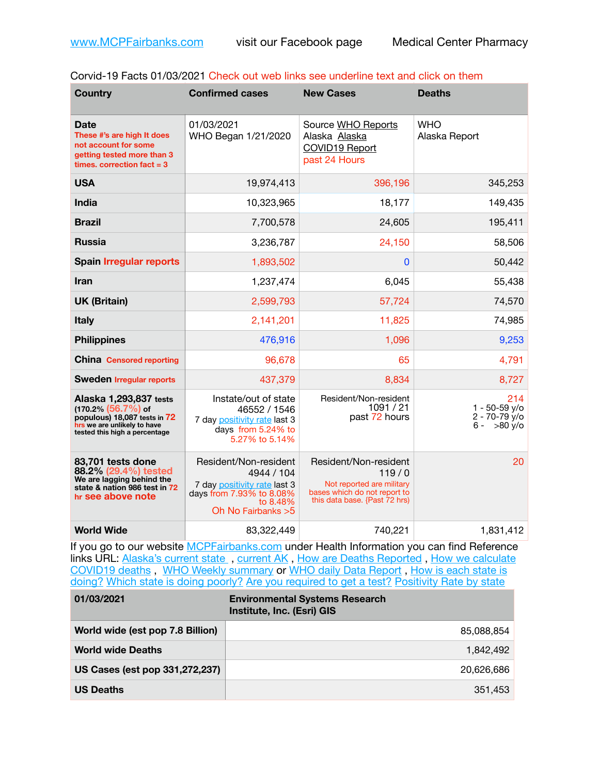| Corvid-19 Facts 01/03/2021 Check out web links see underline text and click on them |  |  |  |  |  |
|-------------------------------------------------------------------------------------|--|--|--|--|--|
|-------------------------------------------------------------------------------------|--|--|--|--|--|

| <b>Country</b>                                                                                                                                   | <b>Confirmed cases</b>                                                                                                              | <b>New Cases</b>                                                                                                             | <b>Deaths</b>                                                     |
|--------------------------------------------------------------------------------------------------------------------------------------------------|-------------------------------------------------------------------------------------------------------------------------------------|------------------------------------------------------------------------------------------------------------------------------|-------------------------------------------------------------------|
| Date<br>These #'s are high It does<br>not account for some<br>getting tested more than 3<br>times, correction fact $= 3$                         | 01/03/2021<br>WHO Began 1/21/2020                                                                                                   | Source WHO Reports<br>Alaska Alaska<br>COVID19 Report<br>past 24 Hours                                                       | <b>WHO</b><br>Alaska Report                                       |
| <b>USA</b>                                                                                                                                       | 19,974,413                                                                                                                          | 396,196                                                                                                                      | 345,253                                                           |
| <b>India</b>                                                                                                                                     | 10,323,965                                                                                                                          | 18,177                                                                                                                       | 149,435                                                           |
| <b>Brazil</b>                                                                                                                                    | 7,700,578                                                                                                                           | 24,605                                                                                                                       | 195,411                                                           |
| <b>Russia</b>                                                                                                                                    | 3,236,787                                                                                                                           | 24,150                                                                                                                       | 58,506                                                            |
| <b>Spain Irregular reports</b>                                                                                                                   | 1,893,502                                                                                                                           | 0                                                                                                                            | 50,442                                                            |
| Iran                                                                                                                                             | 1,237,474                                                                                                                           | 6,045                                                                                                                        | 55,438                                                            |
| <b>UK (Britain)</b>                                                                                                                              | 2,599,793                                                                                                                           | 57,724                                                                                                                       | 74,570                                                            |
| <b>Italy</b>                                                                                                                                     | 2,141,201                                                                                                                           | 11,825                                                                                                                       | 74,985                                                            |
| <b>Philippines</b>                                                                                                                               | 476,916                                                                                                                             | 1,096                                                                                                                        | 9,253                                                             |
| <b>China Censored reporting</b>                                                                                                                  | 96,678                                                                                                                              | 65                                                                                                                           | 4,791                                                             |
| <b>Sweden Irregular reports</b>                                                                                                                  | 437,379                                                                                                                             | 8,834                                                                                                                        | 8,727                                                             |
| Alaska 1,293,837 tests<br>$(170.2\%)(56.7\%)$ of<br>populous) 18,087 tests in 72<br>hrs we are unlikely to have<br>tested this high a percentage | Instate/out of state<br>46552 / 1546<br>7 day positivity rate last 3<br>days from 5.24% to<br>5.27% to 5.14%                        | Resident/Non-resident<br>1091 / 21<br>past 72 hours                                                                          | 214<br>$1 - 50 - 59$ y/o<br>$2 - 70 - 79$ y/o<br>$>80$ y/o<br>6 - |
| 83,701 tests done<br>88.2% (29.4%) tested<br>We are lagging behind the<br>state & nation 986 test in 72<br>hr see above note                     | Resident/Non-resident<br>4944 / 104<br>7 day positivity rate last 3<br>days from 7.93% to 8.08%<br>to 8.48%<br>Oh No Fairbanks $>5$ | Resident/Non-resident<br>119/0<br>Not reported are military<br>bases which do not report to<br>this data base. {Past 72 hrs) | 20                                                                |
| <b>World Wide</b>                                                                                                                                | 83,322,449                                                                                                                          | 740,221                                                                                                                      | 1,831,412                                                         |

If you go to our website **[MCPFairbanks.com](http://www.MCPFairbanks.com)** under Health Information you can find Reference links URL: Alaska's current state, current AK, [How are Deaths Reported](http://dhss.alaska.gov/dph/Epi/id/Pages/COVID-19/deathcounts.aspx), How we calculate [COVID19 deaths](https://coronavirus-response-alaska-dhss.hub.arcgis.com/search?collection=Document&groupIds=41ccb3344ebc4bd682c74073eba21f42) , [WHO Weekly summary](http://www.who.int) or [WHO daily Data Report](https://covid19.who.int/table) , [How is each state is](https://www.msn.com/en-us/news/us/state-by-state-coronavirus-news/ar-BB13E1PX?fbclid=IwAR0_OBJH7lSyTN3ug_MsOeFnNgB1orTa9OBgilKJ7dhnwlVvHEsptuKkj1c)  [doing?](https://www.msn.com/en-us/news/us/state-by-state-coronavirus-news/ar-BB13E1PX?fbclid=IwAR0_OBJH7lSyTN3ug_MsOeFnNgB1orTa9OBgilKJ7dhnwlVvHEsptuKkj1c) [Which state is doing poorly?](https://bestlifeonline.com/covid-outbreak-your-state/?utm_source=nsltr&utm_medium=email&utm_content=covid-outbreak-your-state&utm_campaign=launch) [Are you required to get a test?](http://dhss.alaska.gov/dph/Epi/id/SiteAssets/Pages/HumanCoV/Whattodoafteryourtest.pdf) [Positivity Rate by state](https://coronavirus.jhu.edu/testing/individual-states/alaska)

| 01/03/2021                       | <b>Environmental Systems Research</b><br>Institute, Inc. (Esri) GIS |
|----------------------------------|---------------------------------------------------------------------|
| World wide (est pop 7.8 Billion) | 85,088,854                                                          |
| <b>World wide Deaths</b>         | 1.842.492                                                           |
| US Cases (est pop 331,272,237)   | 20,626,686                                                          |
| <b>US Deaths</b>                 | 351.453                                                             |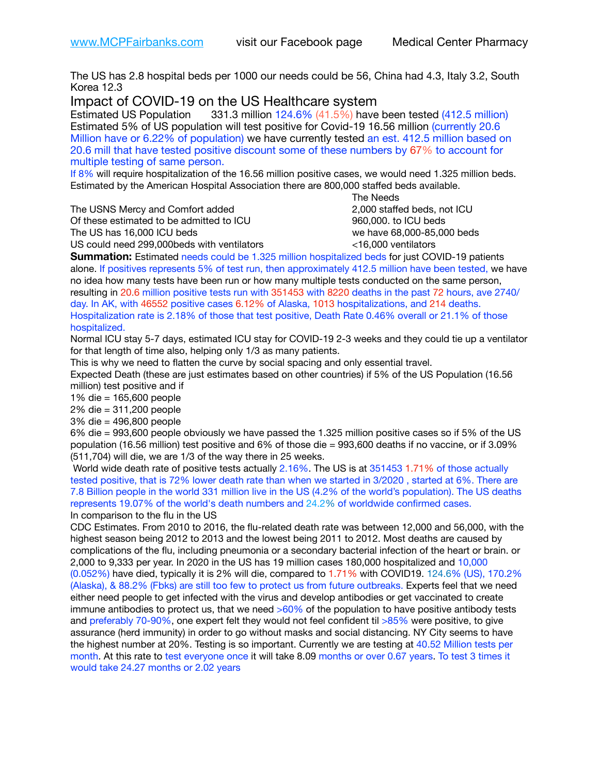The US has 2.8 hospital beds per 1000 our needs could be 56, China had 4.3, Italy 3.2, South Korea 12.3

Impact of COVID-19 on the US Healthcare system<br>Estimated US Population 331.3 million 124.6% (41.5%) have

**331.3 million 124.6% (41.5%) have been tested (412.5 million)** Estimated 5% of US population will test positive for Covid-19 16.56 million (currently 20.6 Million have or 6.22% of population) we have currently tested an est. 412.5 million based on 20.6 mill that have tested positive discount some of these numbers by 67% to account for multiple testing of same person.

If 8% will require hospitalization of the 16.56 million positive cases, we would need 1.325 million beds. Estimated by the American Hospital Association there are 800,000 staffed beds available. 

The USNS Mercy and Comfort added 2,000 staffed beds, not ICU

Of these estimated to be admitted to ICU 960,000. to ICU beds The US has 16,000 ICU beds we have 68,000-85,000 beds ve have 68,000-85,000 beds

 The Needs US could need 299,000beds with ventilators <16,000 ventilators

**Summation:** Estimated needs could be 1.325 million hospitalized beds for just COVID-19 patients alone. If positives represents 5% of test run, then approximately 412.5 million have been tested, we have no idea how many tests have been run or how many multiple tests conducted on the same person, resulting in 20.6 million positive tests run with 351453 with 8220 deaths in the past 72 hours, ave 2740/ day. In AK, with 46552 positive cases 6.12% of Alaska, 1013 hospitalizations, and 214 deaths. Hospitalization rate is 2.18% of those that test positive, Death Rate 0.46% overall or 21.1% of those hospitalized.

Normal ICU stay 5-7 days, estimated ICU stay for COVID-19 2-3 weeks and they could tie up a ventilator for that length of time also, helping only 1/3 as many patients.

This is why we need to flatten the curve by social spacing and only essential travel.

Expected Death (these are just estimates based on other countries) if 5% of the US Population (16.56 million) test positive and if

1% die = 165,600 people

2% die = 311,200 people

3% die = 496,800 people

6% die = 993,600 people obviously we have passed the 1.325 million positive cases so if 5% of the US population (16.56 million) test positive and 6% of those die = 993,600 deaths if no vaccine, or if 3.09% (511,704) will die, we are 1/3 of the way there in 25 weeks.

 World wide death rate of positive tests actually 2.16%. The US is at 351453 1.71% of those actually tested positive, that is 72% lower death rate than when we started in 3/2020 , started at 6%. There are 7.8 Billion people in the world 331 million live in the US (4.2% of the world's population). The US deaths represents 19.07% of the world's death numbers and 24.2% of worldwide confirmed cases. In comparison to the flu in the US

CDC Estimates. From 2010 to 2016, the flu-related death rate was between 12,000 and 56,000, with the highest season being 2012 to 2013 and the lowest being 2011 to 2012. Most deaths are caused by complications of the flu, including pneumonia or a secondary bacterial infection of the heart or brain. or 2,000 to 9,333 per year. In 2020 in the US has 19 million cases 180,000 hospitalized and 10,000 (0.052%) have died, typically it is 2% will die, compared to 1.71% with COVID19. 124.6% (US), 170.2% (Alaska), & 88.2% (Fbks) are still too few to protect us from future outbreaks. Experts feel that we need either need people to get infected with the virus and develop antibodies or get vaccinated to create immune antibodies to protect us, that we need  $>60\%$  of the population to have positive antibody tests and preferably 70-90%, one expert felt they would not feel confident til >85% were positive, to give assurance (herd immunity) in order to go without masks and social distancing. NY City seems to have the highest number at 20%. Testing is so important. Currently we are testing at 40.52 Million tests per month. At this rate to test everyone once it will take 8.09 months or over 0.67 years. To test 3 times it would take 24.27 months or 2.02 years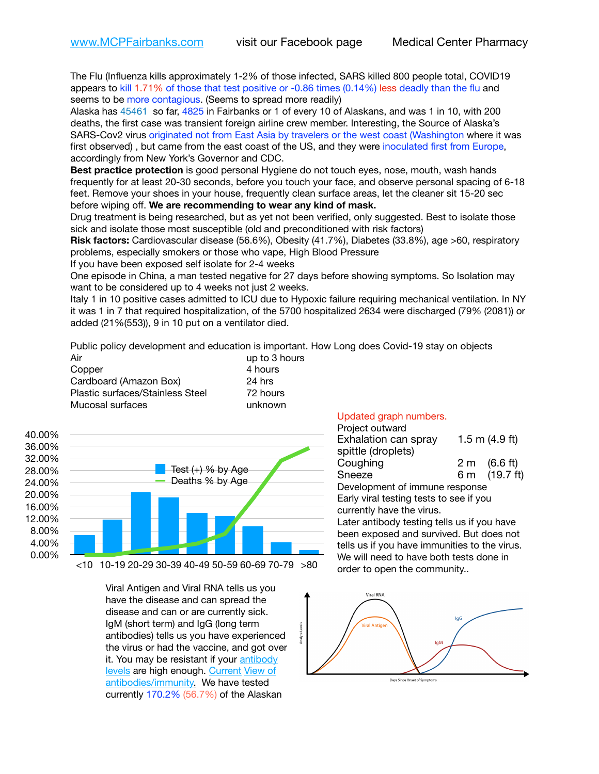The Flu (Influenza kills approximately 1-2% of those infected, SARS killed 800 people total, COVID19 appears to kill 1.71% of those that test positive or -0.86 times (0.14%) less deadly than the flu and seems to be more contagious. (Seems to spread more readily)

Alaska has 45461 so far, 4825 in Fairbanks or 1 of every 10 of Alaskans, and was 1 in 10, with 200 deaths, the first case was transient foreign airline crew member. Interesting, the Source of Alaska's SARS-Cov2 virus originated not from East Asia by travelers or the west coast (Washington where it was first observed) , but came from the east coast of the US, and they were inoculated first from Europe, accordingly from New York's Governor and CDC.

**Best practice protection** is good personal Hygiene do not touch eyes, nose, mouth, wash hands frequently for at least 20-30 seconds, before you touch your face, and observe personal spacing of 6-18 feet. Remove your shoes in your house, frequently clean surface areas, let the cleaner sit 15-20 sec before wiping off. **We are recommending to wear any kind of mask.**

Drug treatment is being researched, but as yet not been verified, only suggested. Best to isolate those sick and isolate those most susceptible (old and preconditioned with risk factors)

**Risk factors:** Cardiovascular disease (56.6%), Obesity (41.7%), Diabetes (33.8%), age >60, respiratory problems, especially smokers or those who vape, High Blood Pressure

If you have been exposed self isolate for 2-4 weeks

One episode in China, a man tested negative for 27 days before showing symptoms. So Isolation may want to be considered up to 4 weeks not just 2 weeks.

Italy 1 in 10 positive cases admitted to ICU due to Hypoxic failure requiring mechanical ventilation. In NY it was 1 in 7 that required hospitalization, of the 5700 hospitalized 2634 were discharged (79% (2081)) or added (21%(553)), 9 in 10 put on a ventilator died.

alvte I

Public policy development and education is important. How Long does Covid-19 stay on objects

| Air                              | up to 3 hours |
|----------------------------------|---------------|
| Copper                           | 4 hours       |
| Cardboard (Amazon Box)           | 24 hrs        |
| Plastic surfaces/Stainless Steel | 72 hours      |
| Mucosal surfaces                 | unknown       |



Viral Antigen and Viral RNA tells us you have the disease and can spread the disease and can or are currently sick. IgM (short term) and IgG (long term antibodies) tells us you have experienced the virus or had the vaccine, and got over it. You may be resistant if your [antibody](https://www.cdc.gov/coronavirus/2019-ncov/lab/resources/antibody-tests.html)  [levels](https://www.cdc.gov/coronavirus/2019-ncov/lab/resources/antibody-tests.html) are high enough. [Current](https://l.facebook.com/l.php?u=https://www.itv.com/news/2020-10-26/covid-19-antibody-levels-reduce-over-time-study-finds?fbclid=IwAR3Dapzh1qIH1EIOdUQI2y8THf7jfA4KBCaJz8Qg-8xe1YsrR4nsAHDIXSY&h=AT30nut8pkqp0heVuz5W2rT2WFFm-2Ab52BsJxZZCNlGsX58IpPkuVEPULbIUV_M16MAukx1Kwb657DPXxsgDN1rpOQ4gqBtQsmVYiWpnHPJo2RQsU6CPMd14lgLnQnFWxfVi6zvmw&__tn__=-UK-R&c%5B0%5D=AT1GaRAfR_nGAyqcn7TI1-PpvqOqEKXHnz6TDWvRStMnOSH7boQDvTiwTOc6VId9UES6LKiOmm2m88wKCoolkJyOFvakt2Z1Mw8toYWGGoWW23r0MNVBl7cYJXB_UOvGklNHaNnaNr1_S7NhT3BSykNOBg) [View of](https://www.livescience.com/antibodies.html)  [antibodies/immunity](https://www.livescience.com/antibodies.html)[.](https://www.itv.com/news/2020-10-26/covid-19-antibody-levels-reduce-over-time-study-finds) We have tested currently 170.2% (56.7%) of the Alaskan

## Updated graph numbers.

| Project outward<br>Exhalation can spray<br>spittle (droplets) |  | 1.5 m $(4.9$ ft) |  |
|---------------------------------------------------------------|--|------------------|--|
| Coughing                                                      |  | 2 m (6.6 ft)     |  |
| Sneeze                                                        |  | 6 m (19.7 ft)    |  |
| Development of immune response                                |  |                  |  |
| Early viral testing tests to see if you                       |  |                  |  |
| currently have the virus.                                     |  |                  |  |
| Later antibody testing tells us if you have                   |  |                  |  |
| been exposed and survived. But does not                       |  |                  |  |
| tells us if you have immunities to the virus.                 |  |                  |  |
| We will need to have both tests done in                       |  |                  |  |
| order to open the community                                   |  |                  |  |
|                                                               |  |                  |  |



Days Since Onset of Symptoms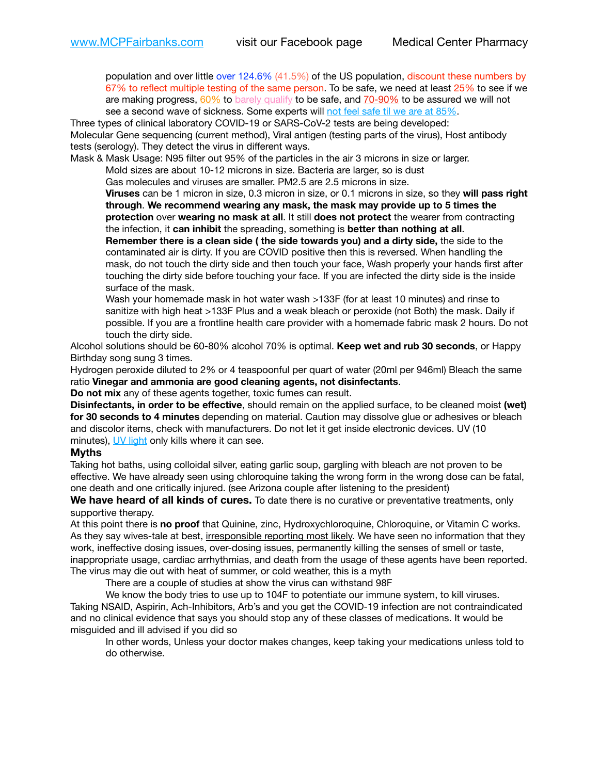population and over little over 124.6% (41.5%) of the US population, discount these numbers by 67% to reflect multiple testing of the same person. To be safe, we need at least 25% to see if we are making progress,  $60\%$  to [barely qualify](https://www.nature.com/articles/d41586-020-02948-4) to be safe, and  $70-90\%$  to be assured we will not see a second wave of sickness. Some experts will [not feel safe til we are at 85%.](https://www.bannerhealth.com/healthcareblog/teach-me/what-is-herd-immunity)

Three types of clinical laboratory COVID-19 or SARS-CoV-2 tests are being developed: Molecular Gene sequencing (current method), Viral antigen (testing parts of the virus), Host antibody tests (serology). They detect the virus in different ways.

Mask & Mask Usage: N95 filter out 95% of the particles in the air 3 microns in size or larger.

Mold sizes are about 10-12 microns in size. Bacteria are larger, so is dust

Gas molecules and viruses are smaller. PM2.5 are 2.5 microns in size.

**Viruses** can be 1 micron in size, 0.3 micron in size, or 0.1 microns in size, so they **will pass right through**. **We recommend wearing any mask, the mask may provide up to 5 times the protection** over **wearing no mask at all**. It still **does not protect** the wearer from contracting the infection, it **can inhibit** the spreading, something is **better than nothing at all**.

**Remember there is a clean side ( the side towards you) and a dirty side,** the side to the contaminated air is dirty. If you are COVID positive then this is reversed. When handling the mask, do not touch the dirty side and then touch your face, Wash properly your hands first after touching the dirty side before touching your face. If you are infected the dirty side is the inside surface of the mask.

Wash your homemade mask in hot water wash >133F (for at least 10 minutes) and rinse to sanitize with high heat >133F Plus and a weak bleach or peroxide (not Both) the mask. Daily if possible. If you are a frontline health care provider with a homemade fabric mask 2 hours. Do not touch the dirty side.

Alcohol solutions should be 60-80% alcohol 70% is optimal. **Keep wet and rub 30 seconds**, or Happy Birthday song sung 3 times.

Hydrogen peroxide diluted to 2% or 4 teaspoonful per quart of water (20ml per 946ml) Bleach the same ratio **Vinegar and ammonia are good cleaning agents, not disinfectants**.

**Do not mix** any of these agents together, toxic fumes can result.

**Disinfectants, in order to be effective**, should remain on the applied surface, to be cleaned moist **(wet) for 30 seconds to 4 minutes** depending on material. Caution may dissolve glue or adhesives or bleach and discolor items, check with manufacturers. Do not let it get inside electronic devices. UV (10 minutes), [UV light](http://www.docreviews.me/best-uv-boxes-2020/?fbclid=IwAR3bvFtXB48OoBBSvYvTEnKuHNPbipxM6jUo82QUSw9wckxjC7wwRZWabGw) only kills where it can see.

## **Myths**

Taking hot baths, using colloidal silver, eating garlic soup, gargling with bleach are not proven to be effective. We have already seen using chloroquine taking the wrong form in the wrong dose can be fatal, one death and one critically injured. (see Arizona couple after listening to the president)

**We have heard of all kinds of cures.** To date there is no curative or preventative treatments, only supportive therapy.

At this point there is **no proof** that Quinine, zinc, Hydroxychloroquine, Chloroquine, or Vitamin C works. As they say wives-tale at best, irresponsible reporting most likely. We have seen no information that they work, ineffective dosing issues, over-dosing issues, permanently killing the senses of smell or taste, inappropriate usage, cardiac arrhythmias, and death from the usage of these agents have been reported. The virus may die out with heat of summer, or cold weather, this is a myth

There are a couple of studies at show the virus can withstand 98F

We know the body tries to use up to 104F to potentiate our immune system, to kill viruses. Taking NSAID, Aspirin, Ach-Inhibitors, Arb's and you get the COVID-19 infection are not contraindicated and no clinical evidence that says you should stop any of these classes of medications. It would be misguided and ill advised if you did so

In other words, Unless your doctor makes changes, keep taking your medications unless told to do otherwise.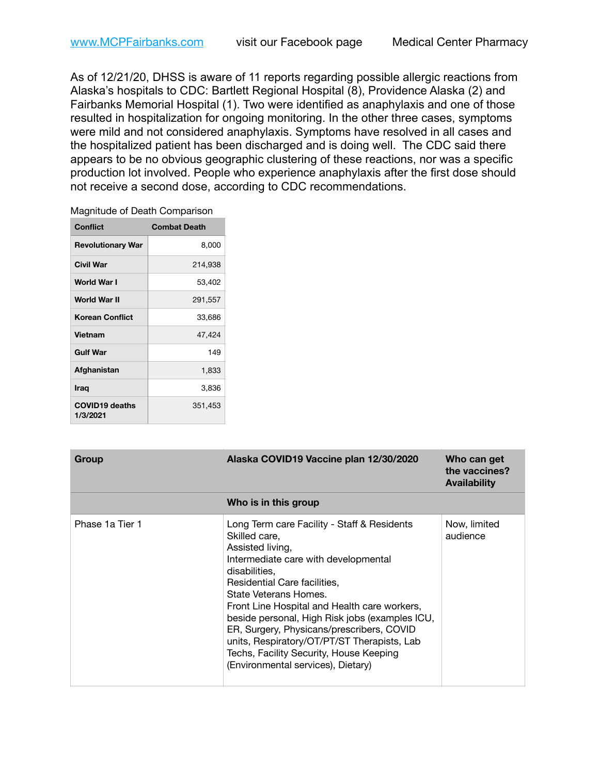As of 12/21/20, DHSS is aware of 11 reports regarding possible allergic reactions from Alaska's hospitals to CDC: Bartlett Regional Hospital (8), Providence Alaska (2) and Fairbanks Memorial Hospital (1). Two were identified as anaphylaxis and one of those resulted in hospitalization for ongoing monitoring. In the other three cases, symptoms were mild and not considered anaphylaxis. Symptoms have resolved in all cases and the hospitalized patient has been discharged and is doing well. The CDC said there appears to be no obvious geographic clustering of these reactions, nor was a specific production lot involved. People who experience anaphylaxis after the first dose should not receive a second dose, according to CDC recommendations.

| Magnitude of Death Comparison |
|-------------------------------|
|-------------------------------|

| <b>Conflict</b>                   | <b>Combat Death</b> |
|-----------------------------------|---------------------|
| <b>Revolutionary War</b>          | 8,000               |
| Civil War                         | 214,938             |
| World War I                       | 53,402              |
| World War II                      | 291,557             |
| <b>Korean Conflict</b>            | 33,686              |
| <b>Vietnam</b>                    | 47,424              |
| <b>Gulf War</b>                   | 149                 |
| Afghanistan                       | 1,833               |
| <b>Iraq</b>                       | 3,836               |
| <b>COVID19 deaths</b><br>1/3/2021 | 351,453             |

| Group           | Alaska COVID19 Vaccine plan 12/30/2020                                                                                                                                                                                                                                                                                                                                                                                                                                            | Who can get<br>the vaccines?<br><b>Availability</b> |
|-----------------|-----------------------------------------------------------------------------------------------------------------------------------------------------------------------------------------------------------------------------------------------------------------------------------------------------------------------------------------------------------------------------------------------------------------------------------------------------------------------------------|-----------------------------------------------------|
|                 | Who is in this group                                                                                                                                                                                                                                                                                                                                                                                                                                                              |                                                     |
| Phase 1a Tier 1 | Long Term care Facility - Staff & Residents<br>Skilled care,<br>Assisted living,<br>Intermediate care with developmental<br>disabilities.<br>Residential Care facilities,<br>State Veterans Homes.<br>Front Line Hospital and Health care workers,<br>beside personal, High Risk jobs (examples ICU,<br>ER, Surgery, Physicans/prescribers, COVID<br>units, Respiratory/OT/PT/ST Therapists, Lab<br>Techs, Facility Security, House Keeping<br>(Environmental services), Dietary) | Now, limited<br>audience                            |